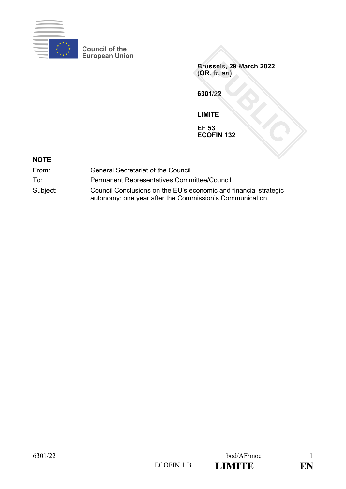

**Council of the European Union**

**Brussels, 29 March 2022 (OR. fr, en)**

**6301/22**

**LIMITE**

**EF 53 ECOFIN 132**

| <b>NOTE</b> |                                                                                                                             |  |
|-------------|-----------------------------------------------------------------------------------------------------------------------------|--|
| From:       | <b>General Secretariat of the Council</b>                                                                                   |  |
| To:         | <b>Permanent Representatives Committee/Council</b>                                                                          |  |
| Subject:    | Council Conclusions on the EU's economic and financial strategic<br>autonomy: one year after the Commission's Communication |  |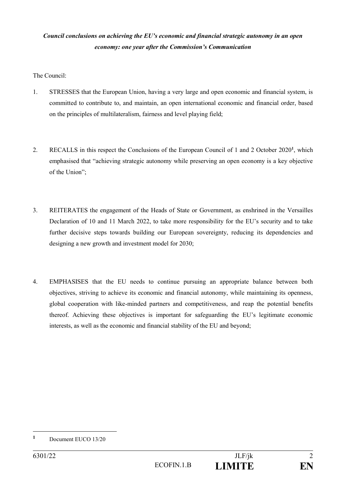# *Council conclusions on achieving the EU's economic and financial strategic autonomy in an open economy: one year after the Commission's Communication*

The Council:

- 1. STRESSES that the European Union, having a very large and open economic and financial system, is committed to contribute to, and maintain, an open international economic and financial order, based on the principles of multilateralism, fairness and level playing field;
- 2. RECALLS in this respect the Conclusions of the European Council of 1 and 2 October 2020**<sup>1</sup>** , which emphasised that "achieving strategic autonomy while preserving an open economy is a key objective of the Union";
- 3. REITERATES the engagement of the Heads of State or Government, as enshrined in the Versailles Declaration of 10 and 11 March 2022, to take more responsibility for the EU's security and to take further decisive steps towards building our European sovereignty, reducing its dependencies and designing a new growth and investment model for 2030;
- 4. EMPHASISES that the EU needs to continue pursuing an appropriate balance between both objectives, striving to achieve its economic and financial autonomy, while maintaining its openness, global cooperation with like-minded partners and competitiveness, and reap the potential benefits thereof. Achieving these objectives is important for safeguarding the EU's legitimate economic interests, as well as the economic and financial stability of the EU and beyond;

**<sup>1</sup>** Document EUCO 13/20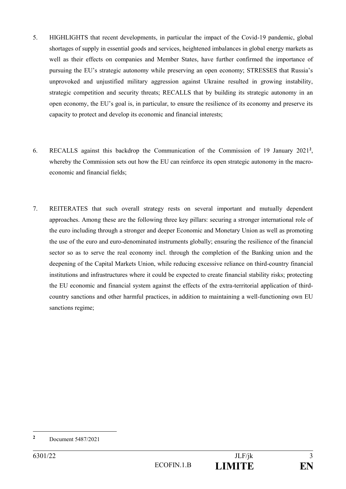- 5. HIGHLIGHTS that recent developments, in particular the impact of the Covid-19 pandemic, global shortages of supply in essential goods and services, heightened imbalances in global energy markets as well as their effects on companies and Member States, have further confirmed the importance of pursuing the EU's strategic autonomy while preserving an open economy; STRESSES that Russia's unprovoked and unjustified military aggression against Ukraine resulted in growing instability, strategic competition and security threats; RECALLS that by building its strategic autonomy in an open economy, the EU's goal is, in particular, to ensure the resilience of its economy and preserve its capacity to protect and develop its economic and financial interests;
- 6. RECALLS against this backdrop the Communication of the Commission of 19 January 2021**<sup>2</sup>** , whereby the Commission sets out how the EU can reinforce its open strategic autonomy in the macroeconomic and financial fields;
- 7. REITERATES that such overall strategy rests on several important and mutually dependent approaches. Among these are the following three key pillars: securing a stronger international role of the euro including through a stronger and deeper Economic and Monetary Union as well as promoting the use of the euro and euro-denominated instruments globally; ensuring the resilience of the financial sector so as to serve the real economy incl. through the completion of the Banking union and the deepening of the Capital Markets Union, while reducing excessive reliance on third-country financial institutions and infrastructures where it could be expected to create financial stability risks; protecting the EU economic and financial system against the effects of the extra-territorial application of thirdcountry sanctions and other harmful practices, in addition to maintaining a well-functioning own EU sanctions regime;

**<sup>2</sup>** Document 5487/2021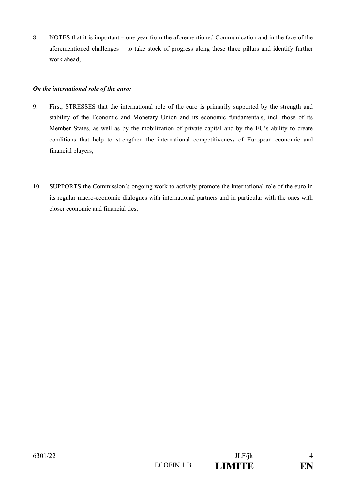8. NOTES that it is important – one year from the aforementioned Communication and in the face of the aforementioned challenges – to take stock of progress along these three pillars and identify further work ahead;

### *On the international role of the euro:*

- 9. First, STRESSES that the international role of the euro is primarily supported by the strength and stability of the Economic and Monetary Union and its economic fundamentals, incl. those of its Member States, as well as by the mobilization of private capital and by the EU's ability to create conditions that help to strengthen the international competitiveness of European economic and financial players;
- 10. SUPPORTS the Commission's ongoing work to actively promote the international role of the euro in its regular macro-economic dialogues with international partners and in particular with the ones with closer economic and financial ties;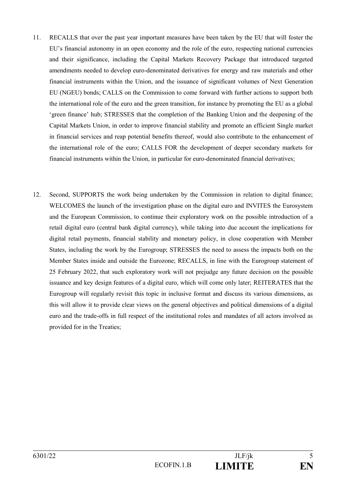- 11. RECALLS that over the past year important measures have been taken by the EU that will foster the EU's financial autonomy in an open economy and the role of the euro, respecting national currencies and their significance, including the Capital Markets Recovery Package that introduced targeted amendments needed to develop euro-denominated derivatives for energy and raw materials and other financial instruments within the Union, and the issuance of significant volumes of Next Generation EU (NGEU) bonds; CALLS on the Commission to come forward with further actions to support both the international role of the euro and the green transition, for instance by promoting the EU as a global 'green finance' hub; STRESSES that the completion of the Banking Union and the deepening of the Capital Markets Union, in order to improve financial stability and promote an efficient Single market in financial services and reap potential benefits thereof, would also contribute to the enhancement of the international role of the euro; CALLS FOR the development of deeper secondary markets for financial instruments within the Union, in particular for euro-denominated financial derivatives;
- 12. Second, SUPPORTS the work being undertaken by the Commission in relation to digital finance; WELCOMES the launch of the investigation phase on the digital euro and INVITES the Eurosystem and the European Commission, to continue their exploratory work on the possible introduction of a retail digital euro (central bank digital currency), while taking into due account the implications for digital retail payments, financial stability and monetary policy, in close cooperation with Member States, including the work by the Eurogroup; STRESSES the need to assess the impacts both on the Member States inside and outside the Eurozone; RECALLS, in line with the Eurogroup statement of 25 February 2022, that such exploratory work will not prejudge any future decision on the possible issuance and key design features of a digital euro, which will come only later; REITERATES that the Eurogroup will regularly revisit this topic in inclusive format and discuss its various dimensions, as this will allow it to provide clear views on the general objectives and political dimensions of a digital euro and the trade-offs in full respect of the institutional roles and mandates of all actors involved as provided for in the Treaties;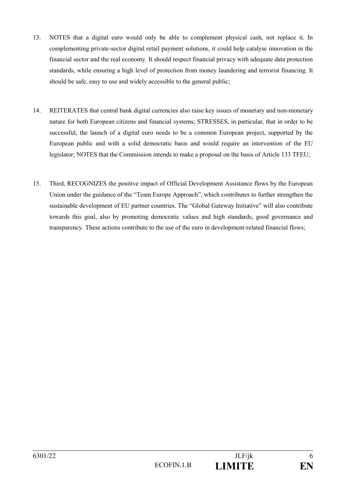- 13. NOTES that a digital euro would only be able to complement physical cash, not replace it. In complementing private-sector digital retail payment solutions, it could help catalyse innovation in the financial sector and the real economy. It should respect financial privacy with adequate data protection standards, while ensuring a high level of protection from money laundering and terrorist financing. It should be safe, easy to use and widely accessible to the general public;
- 14. REITERATES that central bank digital currencies also raise key issues of monetary and non-monetary nature for both European citizens and financial systems; STRESSES, in particular, that in order to be successful, the launch of a digital euro needs to be a common European project, supported by the European public and with a solid democratic basis and would require an intervention of the EU legislator; NOTES that the Commission intends to make a proposal on the basis of Article 133 TFEU;
- 15. Third, RECOGNIZES the positive impact of Official Development Assistance flows by the European Union under the guidance of the "Team Europe Approach", which contributes to further strengthen the sustainable development of EU partner countries. The "Global Gateway Initiative" will also contribute towards this goal, also by promoting democratic values and high standards, good governance and transparency. These actions contribute to the use of the euro in development-related financial flows;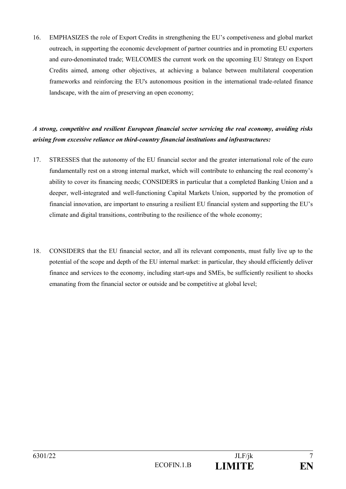16. EMPHASIZES the role of Export Credits in strengthening the EU's competiveness and global market outreach, in supporting the economic development of partner countries and in promoting EU exporters and euro-denominated trade; WELCOMES the current work on the upcoming EU Strategy on Export Credits aimed, among other objectives, at achieving a balance between multilateral cooperation frameworks and reinforcing the EU's autonomous position in the international trade-related finance landscape, with the aim of preserving an open economy;

# *A strong, competitive and resilient European financial sector servicing the real economy, avoiding risks arising from excessive reliance on third-country financial institutions and infrastructures:*

- 17. STRESSES that the autonomy of the EU financial sector and the greater international role of the euro fundamentally rest on a strong internal market, which will contribute to enhancing the real economy's ability to cover its financing needs; CONSIDERS in particular that a completed Banking Union and a deeper, well-integrated and well-functioning Capital Markets Union, supported by the promotion of financial innovation, are important to ensuring a resilient EU financial system and supporting the EU's climate and digital transitions, contributing to the resilience of the whole economy;
- 18. CONSIDERS that the EU financial sector, and all its relevant components, must fully live up to the potential of the scope and depth of the EU internal market: in particular, they should efficiently deliver finance and services to the economy, including start-ups and SMEs, be sufficiently resilient to shocks emanating from the financial sector or outside and be competitive at global level;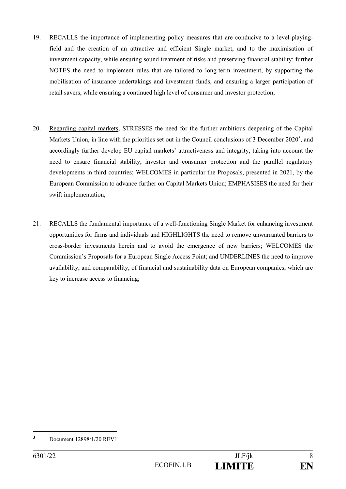- 19. RECALLS the importance of implementing policy measures that are conducive to a level-playingfield and the creation of an attractive and efficient Single market, and to the maximisation of investment capacity, while ensuring sound treatment of risks and preserving financial stability; further NOTES the need to implement rules that are tailored to long-term investment, by supporting the mobilisation of insurance undertakings and investment funds, and ensuring a larger participation of retail savers, while ensuring a continued high level of consumer and investor protection;
- 20. Regarding capital markets, STRESSES the need for the further ambitious deepening of the Capital Markets Union, in line with the priorities set out in the Council conclusions of 3 December 2020**<sup>3</sup>** , and accordingly further develop EU capital markets' attractiveness and integrity, taking into account the need to ensure financial stability, investor and consumer protection and the parallel regulatory developments in third countries; WELCOMES in particular the Proposals, presented in 2021, by the European Commission to advance further on Capital Markets Union; EMPHASISES the need for their swift implementation;
- 21. RECALLS the fundamental importance of a well-functioning Single Market for enhancing investment opportunities for firms and individuals and HIGHLIGHTS the need to remove unwarranted barriers to cross-border investments herein and to avoid the emergence of new barriers; WELCOMES the Commission's Proposals for a European Single Access Point; and UNDERLINES the need to improve availability, and comparability, of financial and sustainability data on European companies, which are key to increase access to financing;

**<sup>3</sup>** Document 12898/1/20 REV1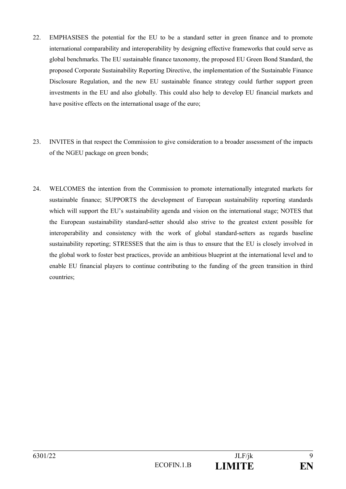- 22. EMPHASISES the potential for the EU to be a standard setter in green finance and to promote international comparability and interoperability by designing effective frameworks that could serve as global benchmarks. The EU sustainable finance taxonomy, the proposed EU Green Bond Standard, the proposed Corporate Sustainability Reporting Directive, the implementation of the Sustainable Finance Disclosure Regulation, and the new EU sustainable finance strategy could further support green investments in the EU and also globally. This could also help to develop EU financial markets and have positive effects on the international usage of the euro;
- 23. INVITES in that respect the Commission to give consideration to a broader assessment of the impacts of the NGEU package on green bonds;
- 24. WELCOMES the intention from the Commission to promote internationally integrated markets for sustainable finance; SUPPORTS the development of European sustainability reporting standards which will support the EU's sustainability agenda and vision on the international stage; NOTES that the European sustainability standard-setter should also strive to the greatest extent possible for interoperability and consistency with the work of global standard-setters as regards baseline sustainability reporting; STRESSES that the aim is thus to ensure that the EU is closely involved in the global work to foster best practices, provide an ambitious blueprint at the international level and to enable EU financial players to continue contributing to the funding of the green transition in third countries;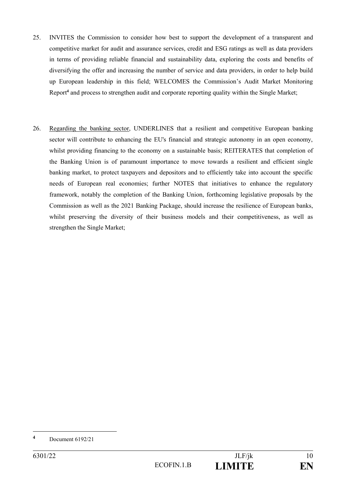- 25. INVITES the Commission to consider how best to support the development of a transparent and competitive market for audit and assurance services, credit and ESG ratings as well as data providers in terms of providing reliable financial and sustainability data, exploring the costs and benefits of diversifying the offer and increasing the number of service and data providers, in order to help build up European leadership in this field; WELCOMES the Commission's Audit Market Monitoring Report**<sup>4</sup>** and process to strengthen audit and corporate reporting quality within the Single Market;
- 26. Regarding the banking sector, UNDERLINES that a resilient and competitive European banking sector will contribute to enhancing the EU's financial and strategic autonomy in an open economy, whilst providing financing to the economy on a sustainable basis; REITERATES that completion of the Banking Union is of paramount importance to move towards a resilient and efficient single banking market, to protect taxpayers and depositors and to efficiently take into account the specific needs of European real economies; further NOTES that initiatives to enhance the regulatory framework, notably the completion of the Banking Union, forthcoming legislative proposals by the Commission as well as the 2021 Banking Package, should increase the resilience of European banks, whilst preserving the diversity of their business models and their competitiveness, as well as strengthen the Single Market;

**<sup>4</sup>** Document 6192/21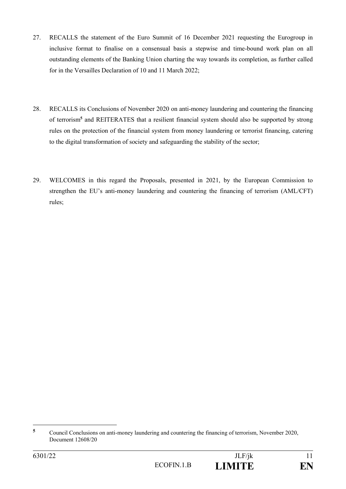- 27. RECALLS the statement of the Euro Summit of 16 December 2021 requesting the Eurogroup in inclusive format to finalise on a consensual basis a stepwise and time-bound work plan on all outstanding elements of the Banking Union charting the way towards its completion, as further called for in the Versailles Declaration of 10 and 11 March 2022;
- 28. RECALLS its Conclusions of November 2020 on anti-money laundering and countering the financing of terrorism**<sup>5</sup>** and REITERATES that a resilient financial system should also be supported by strong rules on the protection of the financial system from money laundering or terrorist financing, catering to the digital transformation of society and safeguarding the stability of the sector;
- 29. WELCOMES in this regard the Proposals, presented in 2021, by the European Commission to strengthen the EU's anti-money laundering and countering the financing of terrorism (AML/CFT) rules;

1

**<sup>5</sup>** Council Conclusions on anti-money laundering and countering the financing of terrorism, November 2020, Document 12608/20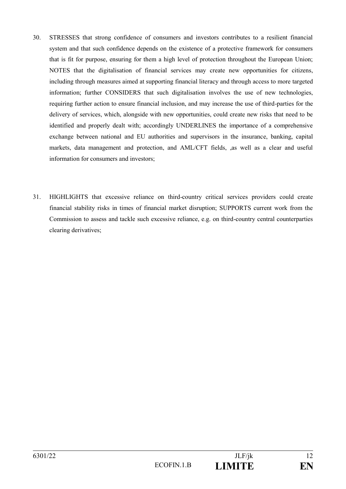- 30. STRESSES that strong confidence of consumers and investors contributes to a resilient financial system and that such confidence depends on the existence of a protective framework for consumers that is fit for purpose, ensuring for them a high level of protection throughout the European Union; NOTES that the digitalisation of financial services may create new opportunities for citizens, including through measures aimed at supporting financial literacy and through access to more targeted information; further CONSIDERS that such digitalisation involves the use of new technologies, requiring further action to ensure financial inclusion, and may increase the use of third-parties for the delivery of services, which, alongside with new opportunities, could create new risks that need to be identified and properly dealt with; accordingly UNDERLINES the importance of a comprehensive exchange between national and EU authorities and supervisors in the insurance, banking, capital markets, data management and protection, and AML/CFT fields, ,as well as a clear and useful information for consumers and investors;
- 31. HIGHLIGHTS that excessive reliance on third-country critical services providers could create financial stability risks in times of financial market disruption; SUPPORTS current work from the Commission to assess and tackle such excessive reliance, e.g. on third-country central counterparties clearing derivatives;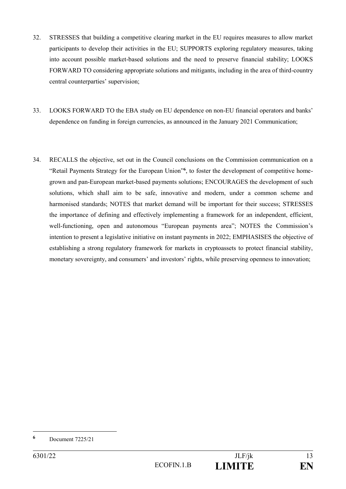- 32. STRESSES that building a competitive clearing market in the EU requires measures to allow market participants to develop their activities in the EU; SUPPORTS exploring regulatory measures, taking into account possible market-based solutions and the need to preserve financial stability; LOOKS FORWARD TO considering appropriate solutions and mitigants, including in the area of third-country central counterparties' supervision;
- 33. LOOKS FORWARD TO the EBA study on EU dependence on non-EU financial operators and banks' dependence on funding in foreign currencies, as announced in the January 2021 Communication;
- 34. RECALLS the objective, set out in the Council conclusions on the Commission communication on a "Retail Payments Strategy for the European Union"**<sup>6</sup>** , to foster the development of competitive homegrown and pan-European market-based payments solutions; ENCOURAGES the development of such solutions, which shall aim to be safe, innovative and modern, under a common scheme and harmonised standards; NOTES that market demand will be important for their success; STRESSES the importance of defining and effectively implementing a framework for an independent, efficient, well-functioning, open and autonomous "European payments area"; NOTES the Commission's intention to present a legislative initiative on instant payments in 2022; EMPHASISES the objective of establishing a strong regulatory framework for markets in cryptoassets to protect financial stability, monetary sovereignty, and consumers' and investors' rights, while preserving openness to innovation;

**<sup>6</sup>** Document 7225/21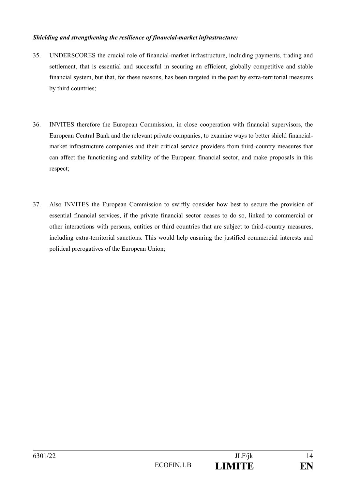### *Shielding and strengthening the resilience of financial-market infrastructure:*

- 35. UNDERSCORES the crucial role of financial-market infrastructure, including payments, trading and settlement, that is essential and successful in securing an efficient, globally competitive and stable financial system, but that, for these reasons, has been targeted in the past by extra-territorial measures by third countries;
- 36. INVITES therefore the European Commission, in close cooperation with financial supervisors, the European Central Bank and the relevant private companies, to examine ways to better shield financialmarket infrastructure companies and their critical service providers from third-country measures that can affect the functioning and stability of the European financial sector, and make proposals in this respect;
- 37. Also INVITES the European Commission to swiftly consider how best to secure the provision of essential financial services, if the private financial sector ceases to do so, linked to commercial or other interactions with persons, entities or third countries that are subject to third-country measures, including extra-territorial sanctions. This would help ensuring the justified commercial interests and political prerogatives of the European Union;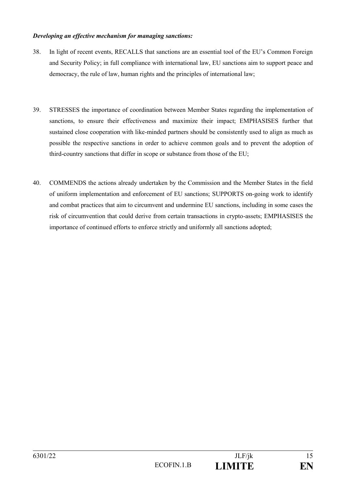#### *Developing an effective mechanism for managing sanctions:*

- 38. In light of recent events, RECALLS that sanctions are an essential tool of the EU's Common Foreign and Security Policy; in full compliance with international law, EU sanctions aim to support peace and democracy, the rule of law, human rights and the principles of international law;
- 39. STRESSES the importance of coordination between Member States regarding the implementation of sanctions, to ensure their effectiveness and maximize their impact; EMPHASISES further that sustained close cooperation with like-minded partners should be consistently used to align as much as possible the respective sanctions in order to achieve common goals and to prevent the adoption of third-country sanctions that differ in scope or substance from those of the EU;
- 40. COMMENDS the actions already undertaken by the Commission and the Member States in the field of uniform implementation and enforcement of EU sanctions; SUPPORTS on-going work to identify and combat practices that aim to circumvent and undermine EU sanctions, including in some cases the risk of circumvention that could derive from certain transactions in crypto-assets; EMPHASISES the importance of continued efforts to enforce strictly and uniformly all sanctions adopted;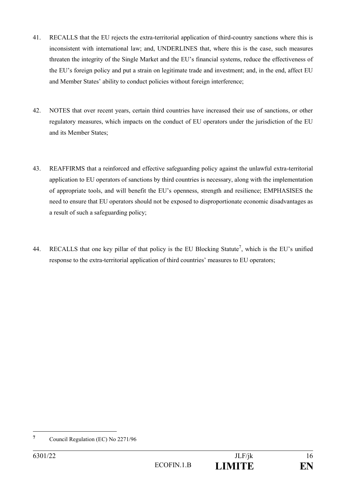- 41. RECALLS that the EU rejects the extra-territorial application of third-country sanctions where this is inconsistent with international law; and, UNDERLINES that, where this is the case, such measures threaten the integrity of the Single Market and the EU's financial systems, reduce the effectiveness of the EU's foreign policy and put a strain on legitimate trade and investment; and, in the end, affect EU and Member States' ability to conduct policies without foreign interference;
- 42. NOTES that over recent years, certain third countries have increased their use of sanctions, or other regulatory measures, which impacts on the conduct of EU operators under the jurisdiction of the EU and its Member States;
- 43. REAFFIRMS that a reinforced and effective safeguarding policy against the unlawful extra-territorial application to EU operators of sanctions by third countries is necessary, along with the implementation of appropriate tools, and will benefit the EU's openness, strength and resilience; EMPHASISES the need to ensure that EU operators should not be exposed to disproportionate economic disadvantages as a result of such a safeguarding policy;
- 44. RECALLS that one key pillar of that policy is the EU Blocking Statute<sup>7</sup>, which is the EU's unified response to the extra-territorial application of third countries' measures to EU operators;

**<sup>7</sup>** Council Regulation (EC) No 2271/96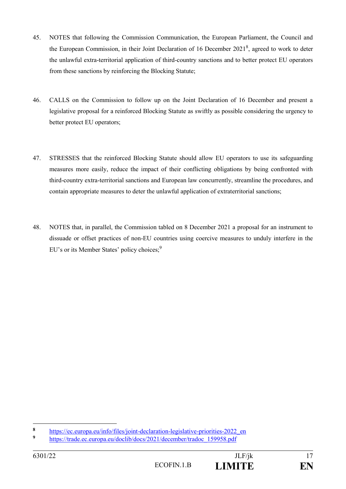- 45. NOTES that following the Commission Communication, the European Parliament, the Council and the European Commission, in their Joint Declaration of 16 December  $2021<sup>8</sup>$ , agreed to work to deter the unlawful extra-territorial application of third-country sanctions and to better protect EU operators from these sanctions by reinforcing the Blocking Statute;
- 46. CALLS on the Commission to follow up on the Joint Declaration of 16 December and present a legislative proposal for a reinforced Blocking Statute as swiftly as possible considering the urgency to better protect EU operators;
- 47. STRESSES that the reinforced Blocking Statute should allow EU operators to use its safeguarding measures more easily, reduce the impact of their conflicting obligations by being confronted with third-country extra-territorial sanctions and European law concurrently, streamline the procedures, and contain appropriate measures to deter the unlawful application of extraterritorial sanctions;
- 48. NOTES that, in parallel, the Commission tabled on 8 December 2021 a proposal for an instrument to dissuade or offset practices of non-EU countries using coercive measures to unduly interfere in the EU's or its Member States' policy choices;<sup>9</sup>

 $\bf{8}$ 8 [https://ec.europa.eu/info/files/joint-declaration-legislative-priorities-2022\\_en](https://ec.europa.eu/info/files/joint-declaration-legislative-priorities-2022_en)<br>https://ec.europa.eu/info/files/joint-declaration-legislative-priorities-2022\_en

**<sup>9</sup>** [https://trade.ec.europa.eu/doclib/docs/2021/december/tradoc\\_159958.pdf](https://trade.ec.europa.eu/doclib/docs/2021/december/tradoc_159958.pdf)